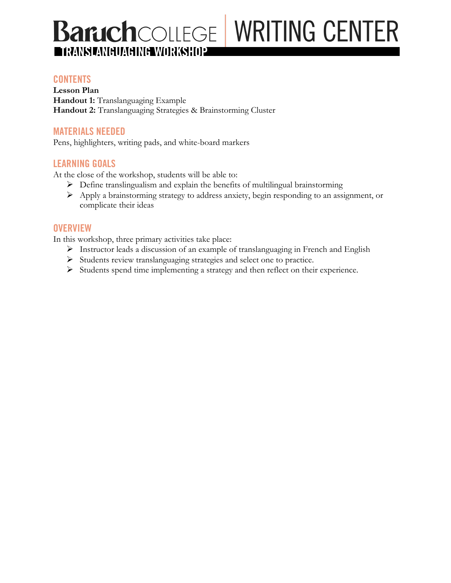# **BaruchCOLLEGE WRITING CENTER TRANSLANGUAGING WORKSHOP**

### **CONTENTS**

**Lesson Plan Handout 1:** Translanguaging Example **Handout 2:** Translanguaging Strategies & Brainstorming Cluster

#### **MATERIALS NEEDED**

Pens, highlighters, writing pads, and white-board markers

### **LEARNING GOALS**

At the close of the workshop, students will be able to:

- $\triangleright$  Define translingualism and explain the benefits of multilingual brainstorming
- Ø Apply a brainstorming strategy to address anxiety, begin responding to an assignment, or complicate their ideas

#### **OVERVIEW**

In this workshop, three primary activities take place:

- Ø Instructor leads a discussion of an example of translanguaging in French and English
- Ø Students review translanguaging strategies and select one to practice.
- Ø Students spend time implementing a strategy and then reflect on their experience.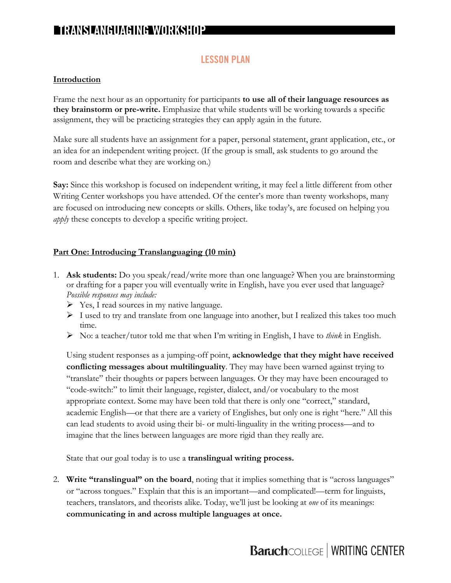# **TRANSLANGUAGING WORKSHOP**

### **LESSON PLAN**

#### **Introduction**

Frame the next hour as an opportunity for participants **to use all of their language resources as they brainstorm or pre-write.** Emphasize that while students will be working towards a specific assignment, they will be practicing strategies they can apply again in the future.

Make sure all students have an assignment for a paper, personal statement, grant application, etc., or an idea for an independent writing project. (If the group is small, ask students to go around the room and describe what they are working on.)

**Say:** Since this workshop is focused on independent writing, it may feel a little different from other Writing Center workshops you have attended. Of the center's more than twenty workshops, many are focused on introducing new concepts or skills. Others, like today's, are focused on helping you *apply* these concepts to develop a specific writing project.

#### **Part One: Introducing Translanguaging (10 min)**

- 1. **Ask students:** Do you speak/read/write more than one language? When you are brainstorming or drafting for a paper you will eventually write in English, have you ever used that language? *Possible responses may include:*
	- $\triangleright$  Yes, I read sources in my native language.
	- $\triangleright$  I used to try and translate from one language into another, but I realized this takes too much time.
	- Ø No: a teacher/tutor told me that when I'm writing in English, I have to *think* in English.

Using student responses as a jumping-off point, **acknowledge that they might have received conflicting messages about multilinguality**. They may have been warned against trying to "translate" their thoughts or papers between languages. Or they may have been encouraged to "code-switch:" to limit their language, register, dialect, and/or vocabulary to the most appropriate context. Some may have been told that there is only one "correct," standard, academic English—or that there are a variety of Englishes, but only one is right "here." All this can lead students to avoid using their bi- or multi-linguality in the writing process—and to imagine that the lines between languages are more rigid than they really are.

State that our goal today is to use a **translingual writing process.**

2. **Write "translingual" on the board**, noting that it implies something that is "across languages" or "across tongues." Explain that this is an important—and complicated!—term for linguists, teachers, translators, and theorists alike. Today, we'll just be looking at *one* of its meanings: **communicating in and across multiple languages at once.** 

# **Baruch**COLLEGE | WRITING CENTER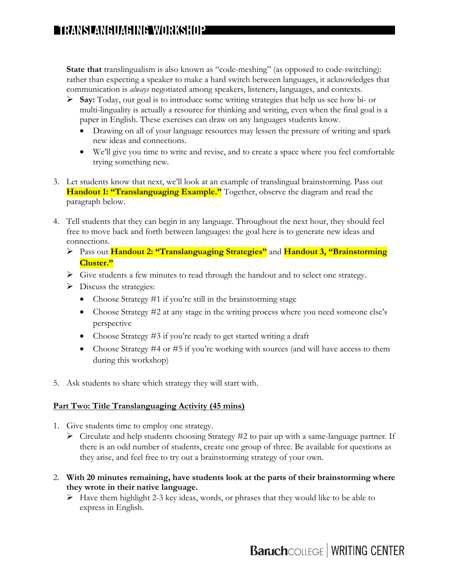**State that** translingualism is also known as "code-meshing" (as opposed to code-switching): rather than expecting a speaker to make a hard switch between languages, it acknowledges that communication is *always* negotiated among speakers, listeners, languages, and contexts.

- Ø **Say:** Today, our goal is to introduce some writing strategies that help us see how bi- or multi-linguality is actually a resource for thinking and writing, even when the final goal is a paper in English. These exercises can draw on any languages students know.
	- Drawing on all of your language resources may lessen the pressure of writing and spark new ideas and connections.
	- We'll give you time to write and revise, and to create a space where you feel comfortable trying something new.
- 3. Let students know that next, we'll look at an example of translingual brainstorming. Pass out **Handout 1: "Translanguaging Example."** Together, observe the diagram and read the paragraph below.
- 4. Tell students that they can begin in any language. Throughout the next hour, they should feel free to move back and forth between languages: the goal here is to generate new ideas and connections.
	- Ø Pass out **Handout 2: "Translanguaging Strategies"** and **Handout 3, "Brainstorming Cluster."**
	- Ø Give students a few minutes to read through the handout and to select one strategy.
	- $\triangleright$  Discuss the strategies:
		- Choose Strategy #1 if you're still in the brainstorming stage
		- Choose Strategy #2 at any stage in the writing process where you need someone else's perspective
		- Choose Strategy #3 if you're ready to get started writing a draft
		- Choose Strategy #4 or #5 if you're working with sources (and will have access to them during this workshop)
- 5. Ask students to share which strategy they will start with.

### **Part Two: Title Translanguaging Activity (45 mins)**

- 1. Give students time to employ one strategy.
	- $\triangleright$  Circulate and help students choosing Strategy #2 to pair up with a same-language partner. If there is an odd number of students, create one group of three. Be available for questions as they arise, and feel free to try out a brainstorming strategy of your own.
- 2. **With 20 minutes remaining, have students look at the parts of their brainstorming where they wrote in their native language.**
	- $\triangleright$  Have them highlight 2-3 key ideas, words, or phrases that they would like to be able to express in English.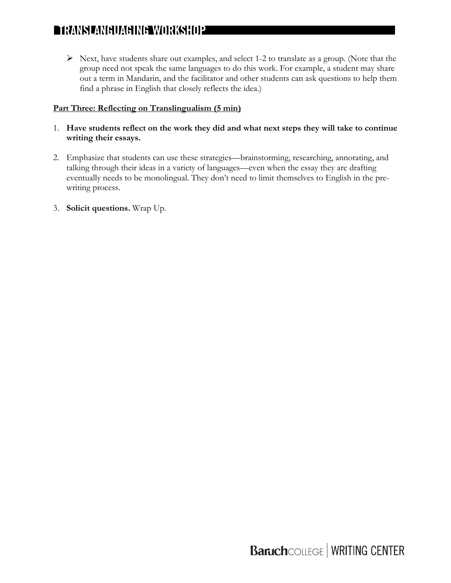# **TRANSLANGUAGING WORKSHOP**

 $\triangleright$  Next, have students share out examples, and select 1-2 to translate as a group. (Note that the group need not speak the same languages to do this work. For example, a student may share out a term in Mandarin, and the facilitator and other students can ask questions to help them find a phrase in English that closely reflects the idea.)

#### **Part Three: Reflecting on Translingualism (5 min)**

- 1. **Have students reflect on the work they did and what next steps they will take to continue writing their essays.**
- 2. Emphasize that students can use these strategies—brainstorming, researching, annotating, and talking through their ideas in a variety of languages—even when the essay they are drafting eventually needs to be monolingual. They don't need to limit themselves to English in the prewriting process.
- 3. **Solicit questions.** Wrap Up.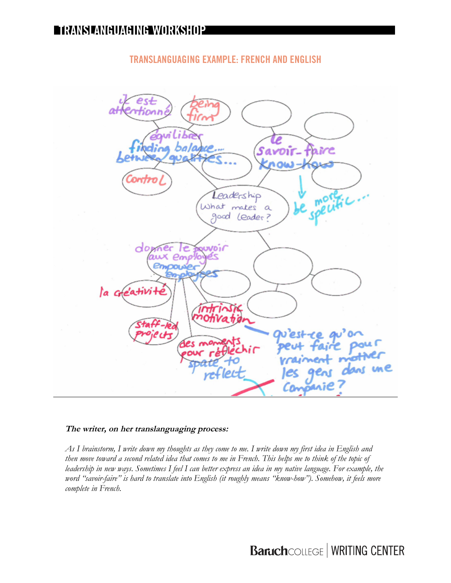## **TRANSLANGUAGING EXAMPLE: FRENCH AND ENGLISH**



#### **The writer, on her translanguaging process:**

*As I brainstorm, I write down my thoughts as they come to me. I write down my first idea in English and then move toward a second related idea that comes to me in French. This helps me to think of the topic of leadership in new ways. Sometimes I feel I can better express an idea in my native language. For example, the word "savoir-faire" is hard to translate into English (it roughly means "know-how"). Somehow, it feels more complete in French.* 

# **Baruch**COLLEGE | WRITING CENTER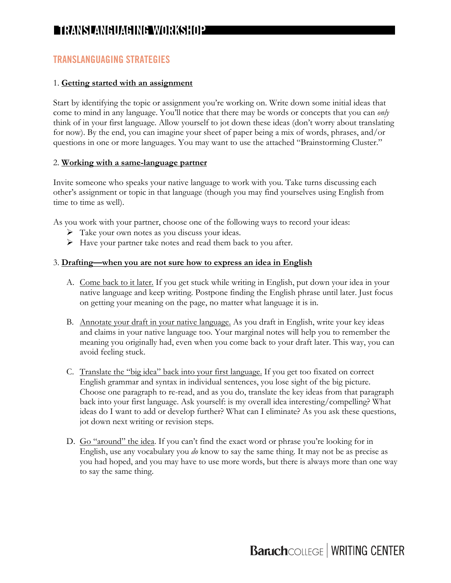# **TRANSLANGUAGING WORKSHOP**

### **TRANSLANGUAGING STRATEGIES**

#### 1. **Getting started with an assignment**

Start by identifying the topic or assignment you're working on. Write down some initial ideas that come to mind in any language. You'll notice that there may be words or concepts that you can *only* think of in your first language. Allow yourself to jot down these ideas (don't worry about translating for now). By the end, you can imagine your sheet of paper being a mix of words, phrases, and/or questions in one or more languages. You may want to use the attached "Brainstorming Cluster."

#### 2. **Working with a same-language partner**

Invite someone who speaks your native language to work with you. Take turns discussing each other's assignment or topic in that language (though you may find yourselves using English from time to time as well).

As you work with your partner, choose one of the following ways to record your ideas:

- $\triangleright$  Take your own notes as you discuss your ideas.
- Ø Have your partner take notes and read them back to you after.

#### 3. **Drafting—when you are not sure how to express an idea in English**

- A. Come back to it later. If you get stuck while writing in English, put down your idea in your native language and keep writing. Postpone finding the English phrase until later. Just focus on getting your meaning on the page, no matter what language it is in.
- B. Annotate your draft in your native language. As you draft in English, write your key ideas and claims in your native language too. Your marginal notes will help you to remember the meaning you originally had, even when you come back to your draft later. This way, you can avoid feeling stuck.
- C. Translate the "big idea" back into your first language. If you get too fixated on correct English grammar and syntax in individual sentences, you lose sight of the big picture. Choose one paragraph to re-read, and as you do, translate the key ideas from that paragraph back into your first language. Ask yourself: is my overall idea interesting/compelling? What ideas do I want to add or develop further? What can I eliminate? As you ask these questions, jot down next writing or revision steps.
- D. Go "around" the idea. If you can't find the exact word or phrase you're looking for in English, use any vocabulary you *do* know to say the same thing. It may not be as precise as you had hoped, and you may have to use more words, but there is always more than one way to say the same thing.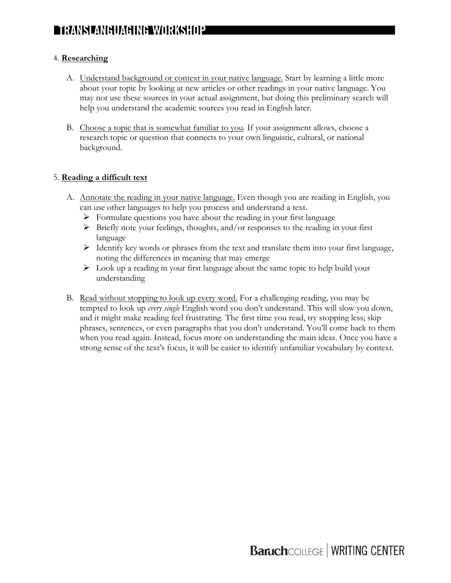#### 4. **Researching**

- A. Understand background or context in your native language. Start by learning a little more about your topic by looking at new articles or other readings in your native language. You may not use these sources in your actual assignment, but doing this preliminary search will help you understand the academic sources you read in English later.
- B. Choose a topic that is somewhat familiar to you. If your assignment allows, choose a research topic or question that connects to your own linguistic, cultural, or national background.

#### 5. **Reading a difficult text**

- A. Annotate the reading in your native language. Even though you are reading in English, you can use other languages to help you process and understand a text.
	- $\triangleright$  Formulate questions you have about the reading in your first language
	- $\triangleright$  Briefly note your feelings, thoughts, and/or responses to the reading in your first language
	- Ø Identify key words or phrases from the text and translate them into your first language, noting the differences in meaning that may emerge
	- $\triangleright$  Look up a reading in your first language about the same topic to help build your understanding
- B. Read without stopping to look up every word. For a challenging reading, you may be tempted to look up *every single* English word you don't understand. This will slow you down, and it might make reading feel frustrating. The first time you read, try stopping less; skip phrases, sentences, or even paragraphs that you don't understand. You'll come back to them when you read again. Instead, focus more on understanding the main ideas. Once you have a strong sense of the text's focus, it will be easier to identify unfamiliar vocabulary by context.